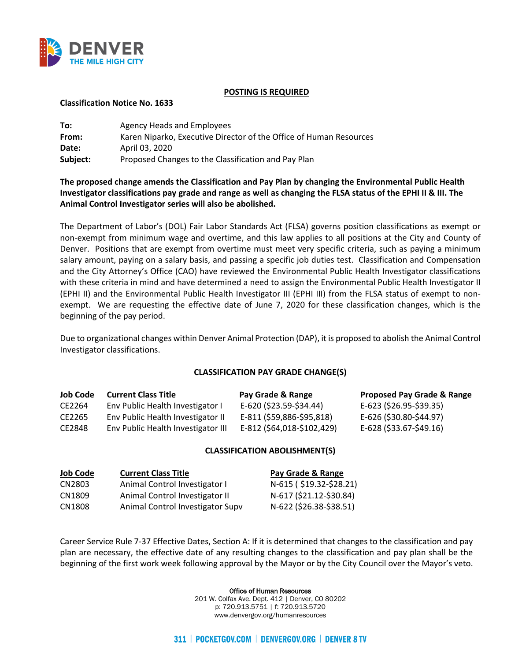

#### **POSTING IS REQUIRED**

#### **Classification Notice No. 1633**

| To:      | Agency Heads and Employees                                         |
|----------|--------------------------------------------------------------------|
| From:    | Karen Niparko, Executive Director of the Office of Human Resources |
| Date:    | April 03, 2020                                                     |
| Subject: | Proposed Changes to the Classification and Pay Plan                |

# **The proposed change amends the Classification and Pay Plan by changing the Environmental Public Health Investigator classifications pay grade and range as well as changing the FLSA status of the EPHI II & III. The Animal Control Investigator series will also be abolished.**

The Department of Labor's (DOL) Fair Labor Standards Act (FLSA) governs position classifications as exempt or non-exempt from minimum wage and overtime, and this law applies to all positions at the City and County of Denver. Positions that are exempt from overtime must meet very specific criteria, such as paying a minimum salary amount, paying on a salary basis, and passing a specific job duties test. Classification and Compensation and the City Attorney's Office (CAO) have reviewed the Environmental Public Health Investigator classifications with these criteria in mind and have determined a need to assign the Environmental Public Health Investigator II (EPHI II) and the Environmental Public Health Investigator III (EPHI III) from the FLSA status of exempt to nonexempt. We are requesting the effective date of June 7, 2020 for these classification changes, which is the beginning of the pay period.

Due to organizational changes within Denver Animal Protection (DAP), it is proposed to abolish the Animal Control Investigator classifications.

## **CLASSIFICATION PAY GRADE CHANGE(S)**

| <b>Job Code</b> | <b>Current Class Title</b>         | Pay Grade & Range          | <b>Proposed Pay Grade &amp; Range</b> |
|-----------------|------------------------------------|----------------------------|---------------------------------------|
| CE2264          | Env Public Health Investigator I   | E-620 (\$23.59-\$34.44)    | E-623 (\$26.95-\$39.35)               |
| CE2265          | Env Public Health Investigator II  | E-811 (\$59,886-\$95,818)  | E-626 (\$30.80-\$44.97)               |
| CE2848          | Env Public Health Investigator III | E-812 (\$64,018-\$102,429) | E-628 (\$33.67-\$49.16)               |

## **CLASSIFICATION ABOLISHMENT(S)**

| <b>Job Code</b> | <b>Current Class Title</b>       | Pay Grade & Range       |
|-----------------|----------------------------------|-------------------------|
| CN2803          | Animal Control Investigator I    | N-615 (\$19.32-\$28.21) |
| CN1809          | Animal Control Investigator II   | N-617 (\$21.12-\$30.84) |
| CN1808          | Animal Control Investigator Supv | N-622 (\$26.38-\$38.51) |

Career Service Rule 7-37 Effective Dates, Section A: If it is determined that changes to the classification and pay plan are necessary, the effective date of any resulting changes to the classification and pay plan shall be the beginning of the first work week following approval by the Mayor or by the City Council over the Mayor's veto.

Office of Human Resources

201 W. Colfax Ave. Dept. 412 | Denver, CO 80202 p: 720.913.5751 | f: 720.913.5720 www.denvergov.org/humanresources